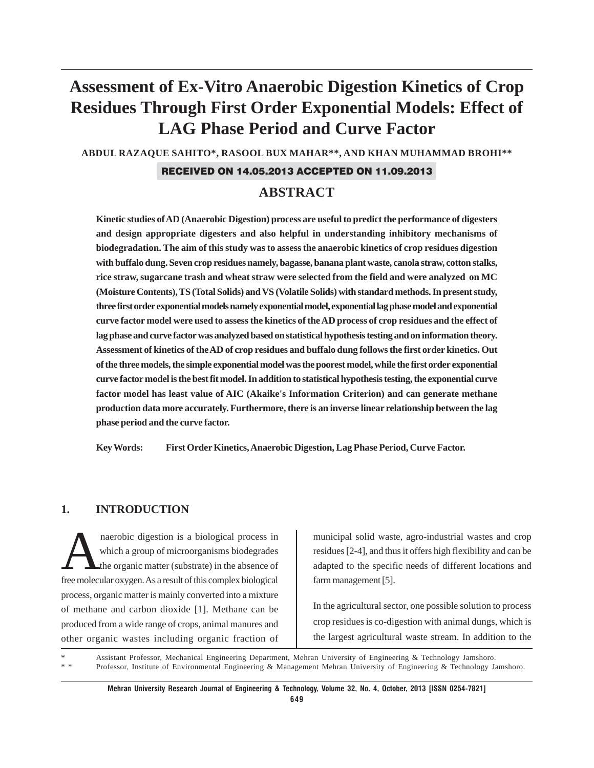# **Assessment of Ex-Vitro Anaerobic Digestion Kinetics of Crop Residues Through First Order Exponential Models: Effect of LAG Phase Period and Curve Factor**

**ABDUL RAZAQUE SAHITO\*, RASOOL BUX MAHAR\*\*, AND KHAN MUHAMMAD BROHI\*\***

#### RECEIVED ON 14.05.2013 ACCEPTED ON 11.09.2013

# **ABSTRACT**

**Kinetic studies of AD (Anaerobic Digestion) process are useful to predict the performance of digesters and design appropriate digesters and also helpful in understanding inhibitory mechanisms of biodegradation. The aim of this study was to assess the anaerobic kinetics of crop residues digestion with buffalo dung. Seven crop residues namely, bagasse, banana plant waste, canola straw, cotton stalks, rice straw, sugarcane trash and wheat straw were selected from the field and were analyzed on MC (Moisture Contents), TS (Total Solids) and VS (Volatile Solids) with standard methods. In present study, three first order exponential models namely exponential model, exponential lag phase model and exponential curve factor model were used to assess the kinetics of the AD process of crop residues and the effect of lag phase and curve factor was analyzed based on statistical hypothesis testing and on information theory. Assessment of kinetics of the AD of crop residues and buffalo dung follows the first order kinetics. Out of the three models, the simple exponential model was the poorest model, while the first order exponential curve factor model is the best fit model. In addition to statistical hypothesis testing, the exponential curve factor model has least value of AIC (Akaike's Information Criterion) and can generate methane production data more accurately. Furthermore, there is an inverse linear relationship between the lag phase period and the curve factor.**

**Key Words: First Order Kinetics, Anaerobic Digestion, Lag Phase Period, Curve Factor.**

#### **1. INTRODUCTION**

naerobic digestion is a biological process in<br>which a group of microorganisms biodegrades<br>the organic matter (substrate) in the absence of which a group of microorganisms biodegrades the organic matter (substrate) in the absence of free molecular oxygen. As a result of this complex biological process, organic matter is mainly converted into a mixture of methane and carbon dioxide [1]. Methane can be produced from a wide range of crops, animal manures and other organic wastes including organic fraction of

municipal solid waste, agro-industrial wastes and crop residues [2-4], and thus it offers high flexibility and can be adapted to the specific needs of different locations and farm management [5].

In the agricultural sector, one possible solution to process crop residues is co-digestion with animal dungs, which is the largest agricultural waste stream. In addition to the

\* Assistant Professor, Mechanical Engineering Department, Mehran University of Engineering & Technology Jamshoro. Professor, Institute of Environmental Engineering & Management Mehran University of Engineering & Technology Jamshoro.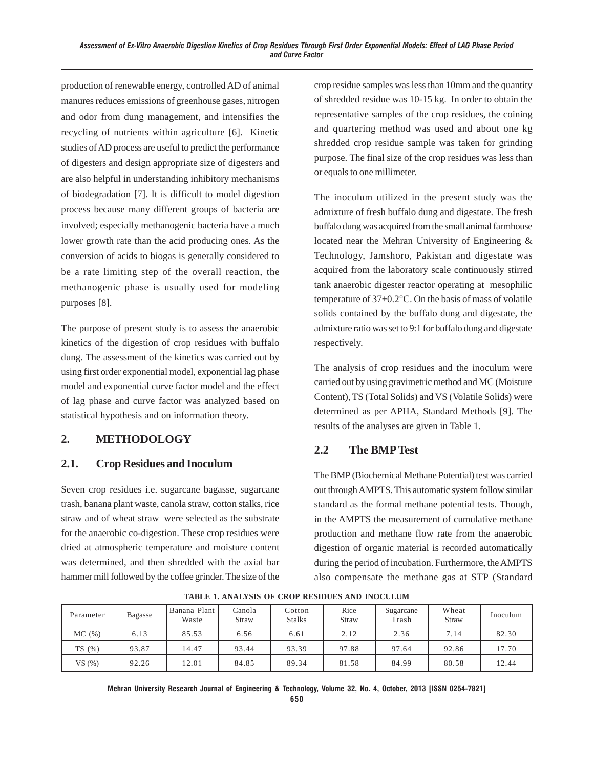production of renewable energy, controlled AD of animal manures reduces emissions of greenhouse gases, nitrogen and odor from dung management, and intensifies the recycling of nutrients within agriculture [6]. Kinetic studies of AD process are useful to predict the performance of digesters and design appropriate size of digesters and are also helpful in understanding inhibitory mechanisms of biodegradation [7]. It is difficult to model digestion process because many different groups of bacteria are involved; especially methanogenic bacteria have a much lower growth rate than the acid producing ones. As the conversion of acids to biogas is generally considered to be a rate limiting step of the overall reaction, the methanogenic phase is usually used for modeling purposes [8].

The purpose of present study is to assess the anaerobic kinetics of the digestion of crop residues with buffalo dung. The assessment of the kinetics was carried out by using first order exponential model, exponential lag phase model and exponential curve factor model and the effect of lag phase and curve factor was analyzed based on statistical hypothesis and on information theory.

# **2. METHODOLOGY**

## **2.1. Crop Residues and Inoculum**

Seven crop residues i.e. sugarcane bagasse, sugarcane trash, banana plant waste, canola straw, cotton stalks, rice straw and of wheat straw were selected as the substrate for the anaerobic co-digestion. These crop residues were dried at atmospheric temperature and moisture content was determined, and then shredded with the axial bar hammer mill followed by the coffee grinder. The size of the crop residue samples was less than 10mm and the quantity of shredded residue was 10-15 kg. In order to obtain the representative samples of the crop residues, the coining and quartering method was used and about one kg shredded crop residue sample was taken for grinding purpose. The final size of the crop residues was less than or equals to one millimeter.

The inoculum utilized in the present study was the admixture of fresh buffalo dung and digestate. The fresh buffalo dung was acquired from the small animal farmhouse located near the Mehran University of Engineering & Technology, Jamshoro, Pakistan and digestate was acquired from the laboratory scale continuously stirred tank anaerobic digester reactor operating at mesophilic temperature of 37±0.2°C. On the basis of mass of volatile solids contained by the buffalo dung and digestate, the admixture ratio was set to 9:1 for buffalo dung and digestate respectively.

The analysis of crop residues and the inoculum were carried out by using gravimetric method and MC (Moisture Content), TS (Total Solids) and VS (Volatile Solids) were determined as per APHA, Standard Methods [9]. The results of the analyses are given in Table 1.

## **2.2 The BMP Test**

The BMP (Biochemical Methane Potential) test was carried out through AMPTS. This automatic system follow similar standard as the formal methane potential tests. Though, in the AMPTS the measurement of cumulative methane production and methane flow rate from the anaerobic digestion of organic material is recorded automatically during the period of incubation. Furthermore, the AMPTS also compensate the methane gas at STP (Standard

| Parameter | Bagasse | Banana Plant<br>Waste | Canola<br>Straw | Cotton<br><b>Stalks</b> | Rice<br>Straw | Sugarcane<br>Trash | Wheat<br>Straw | Inoculum |
|-----------|---------|-----------------------|-----------------|-------------------------|---------------|--------------------|----------------|----------|
| MC(%)     | 6.13    | 85.53                 | 6.56            | 6.61                    | 2.12          | 2.36               | 7.14           | 82.30    |
| TS(%)     | 93.87   | 14.47                 | 93.44           | 93.39                   | 97.88         | 97.64              | 92.86          | 17.70    |
| VS(%)     | 92.26   | 12.01                 | 84.85           | 89.34                   | 81.58         | 84.99              | 80.58          | 12.44    |

**TABLE 1. ANALYSIS OF CROP RESIDUES AND INOCULUM**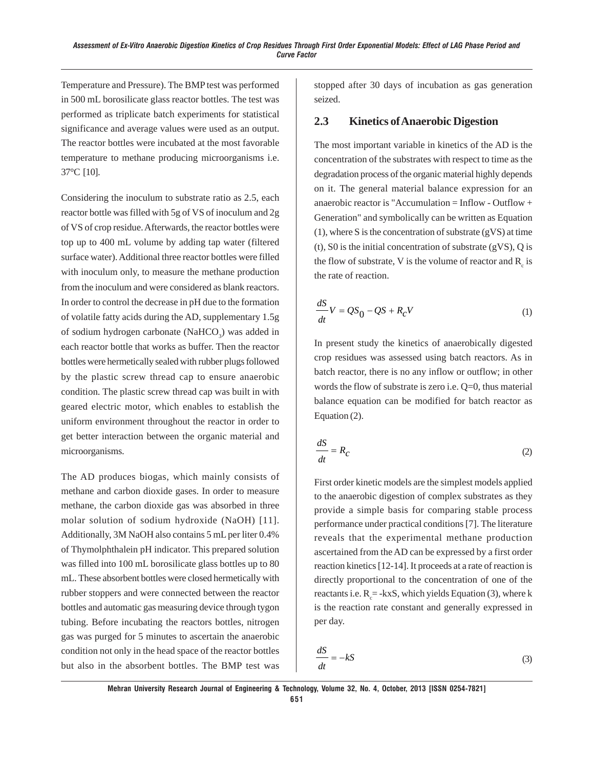Temperature and Pressure). The BMP test was performed in 500 mL borosilicate glass reactor bottles. The test was performed as triplicate batch experiments for statistical significance and average values were used as an output. The reactor bottles were incubated at the most favorable temperature to methane producing microorganisms i.e. 37°C [10].

Considering the inoculum to substrate ratio as 2.5, each reactor bottle was filled with 5g of VS of inoculum and 2g of VS of crop residue. Afterwards, the reactor bottles were top up to 400 mL volume by adding tap water (filtered surface water). Additional three reactor bottles were filled with inoculum only, to measure the methane production from the inoculum and were considered as blank reactors. In order to control the decrease in pH due to the formation of volatile fatty acids during the AD, supplementary 1.5g of sodium hydrogen carbonate (NaHCO<sub>3</sub>) was added in each reactor bottle that works as buffer. Then the reactor bottles were hermetically sealed with rubber plugs followed by the plastic screw thread cap to ensure anaerobic condition. The plastic screw thread cap was built in with geared electric motor, which enables to establish the uniform environment throughout the reactor in order to get better interaction between the organic material and microorganisms.

The AD produces biogas, which mainly consists of methane and carbon dioxide gases. In order to measure methane, the carbon dioxide gas was absorbed in three molar solution of sodium hydroxide (NaOH) [11]. Additionally, 3M NaOH also contains 5 mL per liter 0.4% of Thymolphthalein pH indicator. This prepared solution was filled into 100 mL borosilicate glass bottles up to 80 mL. These absorbent bottles were closed hermetically with rubber stoppers and were connected between the reactor bottles and automatic gas measuring device through tygon tubing. Before incubating the reactors bottles, nitrogen gas was purged for 5 minutes to ascertain the anaerobic condition not only in the head space of the reactor bottles but also in the absorbent bottles. The BMP test was

stopped after 30 days of incubation as gas generation seized.

#### **2.3 Kinetics of Anaerobic Digestion**

The most important variable in kinetics of the AD is the concentration of the substrates with respect to time as the degradation process of the organic material highly depends on it. The general material balance expression for an anaerobic reactor is "Accumulation = Inflow - Outflow + Generation" and symbolically can be written as Equation (1), where S is the concentration of substrate (gVS) at time  $(t)$ , S0 is the initial concentration of substrate (gVS), Q is the flow of substrate, V is the volume of reactor and  $R_c$  is the rate of reaction.

$$
\frac{dS}{dt}V = QS_0 - QS + R_cV\tag{1}
$$

In present study the kinetics of anaerobically digested crop residues was assessed using batch reactors. As in batch reactor, there is no any inflow or outflow; in other words the flow of substrate is zero i.e. Q=0, thus material balance equation can be modified for batch reactor as Equation (2).

$$
\frac{dS}{dt} = R_C \tag{2}
$$

First order kinetic models are the simplest models applied to the anaerobic digestion of complex substrates as they provide a simple basis for comparing stable process performance under practical conditions [7]. The literature reveals that the experimental methane production ascertained from the AD can be expressed by a first order reaction kinetics [12-14]. It proceeds at a rate of reaction is directly proportional to the concentration of one of the reactants i.e.  $R_c = -kxS$ , which yields Equation (3), where k is the reaction rate constant and generally expressed in per day.

$$
\frac{dS}{dt} = -kS\tag{3}
$$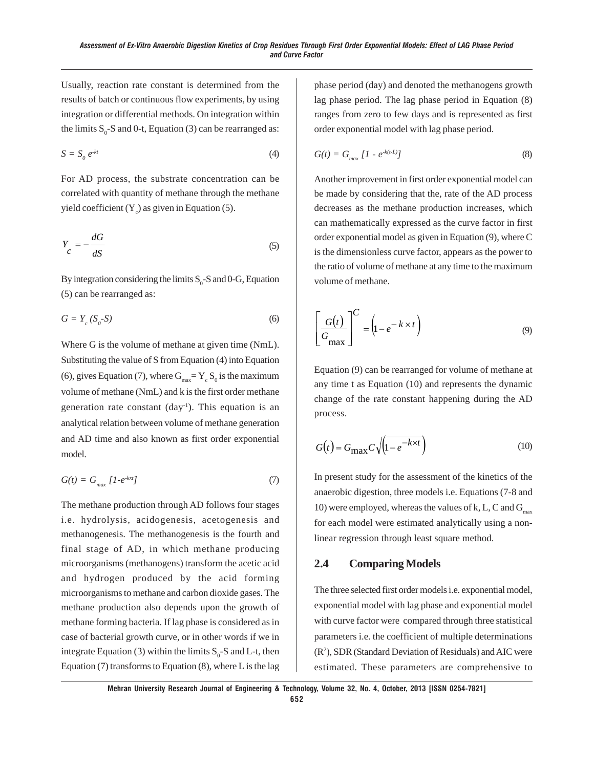Usually, reaction rate constant is determined from the results of batch or continuous flow experiments, by using integration or differential methods. On integration within the limits  $S_0$ -S and 0-t, Equation (3) can be rearranged as:

$$
S = S_0 e^{-kt} \tag{4}
$$

For AD process, the substrate concentration can be correlated with quantity of methane through the methane yield coefficient  $(Y_c)$  as given in Equation (5).

$$
Y_C = -\frac{dG}{dS} \tag{5}
$$

By integration considering the limits  $S_0$ -S and 0-G, Equation (5) can be rearranged as:

$$
G = Y_c (S_o - S) \tag{6}
$$

Where G is the volume of methane at given time (NmL). Substituting the value of S from Equation (4) into Equation (6), gives Equation (7), where  $G_{\text{max}} = Y_c S_0$  is the maximum volume of methane (NmL) and k is the first order methane generation rate constant  $(\text{day}^1)$ . This equation is an analytical relation between volume of methane generation and AD time and also known as first order exponential model.

$$
G(t) = G_{max} [1 - e^{-kxt}] \tag{7}
$$

The methane production through AD follows four stages i.e. hydrolysis, acidogenesis, acetogenesis and methanogenesis. The methanogenesis is the fourth and final stage of AD, in which methane producing microorganisms (methanogens) transform the acetic acid and hydrogen produced by the acid forming microorganisms to methane and carbon dioxide gases. The methane production also depends upon the growth of methane forming bacteria. If lag phase is considered as in case of bacterial growth curve, or in other words if we in integrate Equation (3) within the limits  $S_0$ -S and L-t, then Equation (7) transforms to Equation  $(8)$ , where L is the lag

phase period (day) and denoted the methanogens growth lag phase period. The lag phase period in Equation (8) ranges from zero to few days and is represented as first order exponential model with lag phase period.

$$
G(t) = G_{max} \left[ 1 - e^{-k(t-L)} \right] \tag{8}
$$

Another improvement in first order exponential model can be made by considering that the, rate of the AD process decreases as the methane production increases, which can mathematically expressed as the curve factor in first order exponential model as given in Equation (9), where C is the dimensionless curve factor, appears as the power to the ratio of volume of methane at any time to the maximum volume of methane.

$$
\left[\frac{G(t)}{G_{\text{max}}}\right]^C = \left(1 - e^{-k \times t}\right)
$$
\n(9)

Equation (9) can be rearranged for volume of methane at any time t as Equation (10) and represents the dynamic change of the rate constant happening during the AD process.

$$
G(t) = G_{\text{max}} C \sqrt{\left(1 - e^{-k \times t}\right)} \tag{10}
$$

In present study for the assessment of the kinetics of the anaerobic digestion, three models i.e. Equations (7-8 and 10) were employed, whereas the values of k, L, C and  $G_{\text{max}}$ for each model were estimated analytically using a nonlinear regression through least square method.

#### **2.4 Comparing Models**

The three selected first order models i.e. exponential model, exponential model with lag phase and exponential model with curve factor were compared through three statistical parameters i.e. the coefficient of multiple determinations (R2 ), SDR (Standard Deviation of Residuals) and AIC were estimated. These parameters are comprehensive to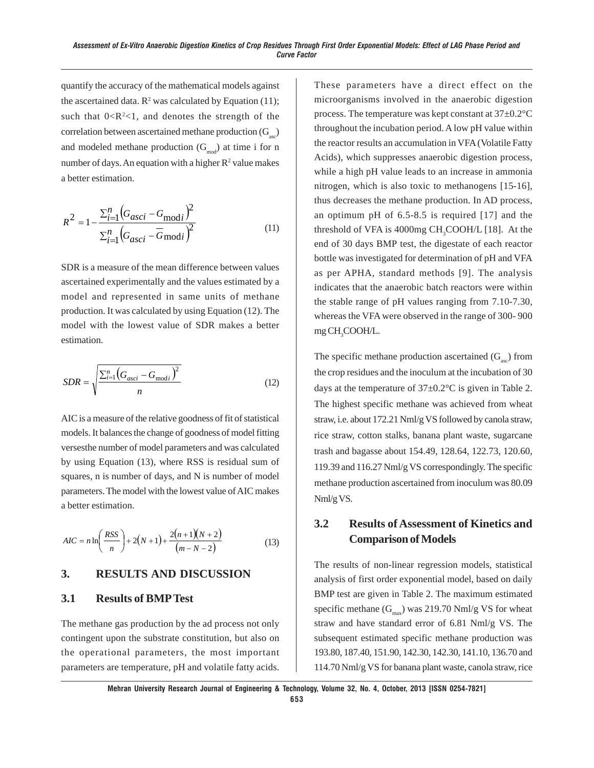quantify the accuracy of the mathematical models against the ascertained data.  $\mathbb{R}^2$  was calculated by Equation (11); such that  $0 < R^2 < 1$ , and denotes the strength of the correlation between ascertained methane production  $(G_{\text{max}})$ and modeled methane production  $(G<sub>mod</sub>)$  at time i for n number of days. An equation with a higher  $\mathbb{R}^2$  value makes a better estimation.

$$
R^{2} = 1 - \frac{\sum_{i=1}^{n} (G_{asci} - G_{\text{mod }i})^{2}}{\sum_{i=1}^{n} (G_{asci} - G_{\text{mod }i})^{2}}
$$
(11)

SDR is a measure of the mean difference between values ascertained experimentally and the values estimated by a model and represented in same units of methane production. It was calculated by using Equation (12). The model with the lowest value of SDR makes a better estimation.

$$
SDR = \sqrt{\frac{\sum_{i=1}^{n} (G_{asci} - G_{\text{mod}i})^2}{n}}
$$
(12)

AIC is a measure of the relative goodness of fit of statistical models. It balances the change of goodness of model fitting versesthe number of model parameters and was calculated by using Equation (13), where RSS is residual sum of squares, n is number of days, and N is number of model parameters. The model with the lowest value of AIC makes a better estimation.

$$
AIC = n \ln \left( \frac{RSS}{n} \right) + 2(N+1) + \frac{2(n+1)(N+2)}{(m-N-2)}
$$
(13)

#### **3. RESULTS AND DISCUSSION**

#### **3.1 Results of BMP Test**

The methane gas production by the ad process not only contingent upon the substrate constitution, but also on the operational parameters, the most important parameters are temperature, pH and volatile fatty acids. These parameters have a direct effect on the microorganisms involved in the anaerobic digestion process. The temperature was kept constant at 37±0.2°C throughout the incubation period. A low pH value within the reactor results an accumulation in VFA (Volatile Fatty Acids), which suppresses anaerobic digestion process, while a high pH value leads to an increase in ammonia nitrogen, which is also toxic to methanogens [15-16], thus decreases the methane production. In AD process, an optimum pH of 6.5-8.5 is required [17] and the threshold of VFA is  $4000mg$  CH<sub>3</sub>COOH/L [18]. At the end of 30 days BMP test, the digestate of each reactor bottle was investigated for determination of pH and VFA as per APHA, standard methods [9]. The analysis indicates that the anaerobic batch reactors were within the stable range of pH values ranging from 7.10-7.30, whereas the VFA were observed in the range of 300- 900 mg CH<sub>3</sub>COOH/L.

The specific methane production ascertained  $(G_{\text{max}})$  from the crop residues and the inoculum at the incubation of 30 days at the temperature of  $37\pm0.2^{\circ}\text{C}$  is given in Table 2. The highest specific methane was achieved from wheat straw, i.e. about 172.21 Nml/g VS followed by canola straw, rice straw, cotton stalks, banana plant waste, sugarcane trash and bagasse about 154.49, 128.64, 122.73, 120.60, 119.39 and 116.27 Nml/g VS correspondingly. The specific methane production ascertained from inoculum was 80.09 Nml/g VS.

## **3.2 Results of Assessment of Kinetics and Comparison of Models**

The results of non-linear regression models, statistical analysis of first order exponential model, based on daily BMP test are given in Table 2. The maximum estimated specific methane  $(G<sub>max</sub>)$  was 219.70 Nml/g VS for wheat straw and have standard error of 6.81 Nml/g VS. The subsequent estimated specific methane production was 193.80, 187.40, 151.90, 142.30, 142.30, 141.10, 136.70 and 114.70 Nml/g VS for banana plant waste, canola straw, rice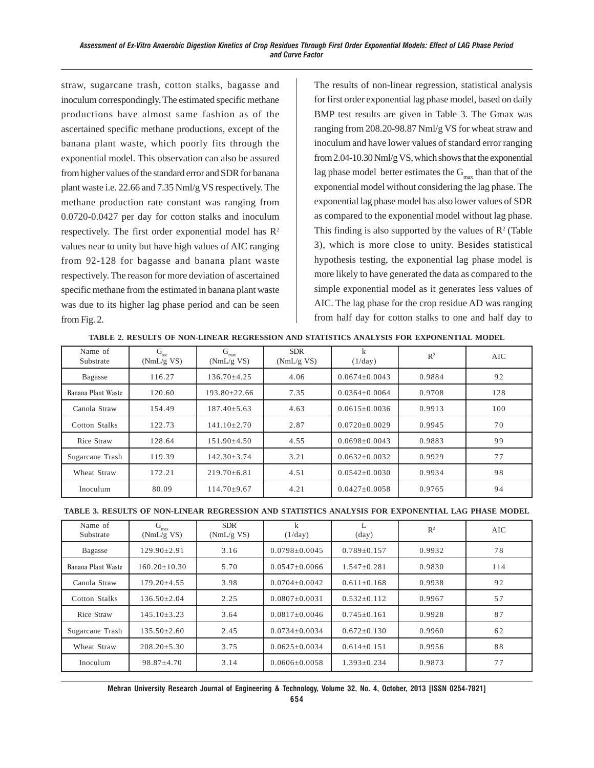straw, sugarcane trash, cotton stalks, bagasse and inoculum correspondingly. The estimated specific methane productions have almost same fashion as of the ascertained specific methane productions, except of the banana plant waste, which poorly fits through the exponential model. This observation can also be assured from higher values of the standard error and SDR for banana plant waste i.e. 22.66 and 7.35 Nml/g VS respectively. The methane production rate constant was ranging from 0.0720-0.0427 per day for cotton stalks and inoculum respectively. The first order exponential model has  $\mathbb{R}^2$ values near to unity but have high values of AIC ranging from 92-128 for bagasse and banana plant waste respectively. The reason for more deviation of ascertained specific methane from the estimated in banana plant waste was due to its higher lag phase period and can be seen from Fig. 2.

The results of non-linear regression, statistical analysis for first order exponential lag phase model, based on daily BMP test results are given in Table 3. The Gmax was ranging from 208.20-98.87 Nml/g VS for wheat straw and inoculum and have lower values of standard error ranging from 2.04-10.30 Nml/g VS, which shows that the exponential lag phase model better estimates the  $G_{\text{max}}$  than that of the exponential model without considering the lag phase. The exponential lag phase model has also lower values of SDR as compared to the exponential model without lag phase. This finding is also supported by the values of  $\mathbb{R}^2$  (Table 3), which is more close to unity. Besides statistical hypothesis testing, the exponential lag phase model is more likely to have generated the data as compared to the simple exponential model as it generates less values of AIC. The lag phase for the crop residue AD was ranging from half day for cotton stalks to one and half day to

| Name of<br>Substrate | G<br>asc.<br>(NmL/g VS) | G<br>max<br>(NmL/g VS) | <b>SDR</b><br>(NmL/g VS) | k<br>(1/day)        | $\mathbb{R}^2$ | AIC |
|----------------------|-------------------------|------------------------|--------------------------|---------------------|----------------|-----|
| Bagasse              | 116.27                  | $136.70 + 4.25$        | 4.06                     | $0.0674 \pm 0.0043$ | 0.9884         | 92  |
| Banana Plant Waste   | 120.60                  | $193.80 \pm 22.66$     | 7.35                     | $0.0364 \pm 0.0064$ | 0.9708         | 128 |
| Canola Straw         | 154.49                  | $187.40 + 5.63$        | 4.63                     | $0.0615 \pm 0.0036$ | 0.9913         | 100 |
| Cotton Stalks        | 122.73                  | $141.10 \pm 2.70$      | 2.87                     | $0.0720 \pm 0.0029$ | 0.9945         | 70  |
| Rice Straw           | 128.64                  | $151.90 + 4.50$        | 4.55                     | $0.0698 \pm 0.0043$ | 0.9883         | 99  |
| Sugarcane Trash      | 119.39                  | $142.30 \pm 3.74$      | 3.21                     | $0.0632 \pm 0.0032$ | 0.9929         | 77  |
| Wheat Straw          | 172.21                  | $219.70 \pm 6.81$      | 4.51                     | $0.0542 \pm 0.0030$ | 0.9934         | 98  |
| Inoculum             | 80.09                   | $114.70 \pm 9.67$      | 4.21                     | $0.0427 \pm 0.0058$ | 0.9765         | 94  |

**TABLE 2. RESULTS OF NON-LINEAR REGRESSION AND STATISTICS ANALYSIS FOR EXPONENTIAL MODEL**

|  | TABLE 3. RESULTS OF NON-LINEAR REGRESSION AND STATISTICS ANALYSIS FOR EXPONENTIAL LAG PHASE MODEL |  |  |  |  |
|--|---------------------------------------------------------------------------------------------------|--|--|--|--|
|--|---------------------------------------------------------------------------------------------------|--|--|--|--|

| Name of<br>Substrate | G<br>max<br>(NmL/g VS) | <b>SDR</b><br>(NmL/g VS) | k<br>(1/day)        | L<br>$\text{(day)}$ | R <sup>2</sup> | AIC |
|----------------------|------------------------|--------------------------|---------------------|---------------------|----------------|-----|
| Bagasse              | $129.90 \pm 2.91$      | 3.16                     | $0.0798 \pm 0.0045$ | $0.789 \pm 0.157$   | 0.9932         | 78  |
| Banana Plant Waste   | $160.20 \pm 10.30$     | 5.70                     | $0.0547 \pm 0.0066$ | $1.547 \pm 0.281$   | 0.9830         | 114 |
| Canola Straw         | $179.20 \pm 4.55$      | 3.98                     | $0.0704 \pm 0.0042$ | $0.611 \pm 0.168$   | 0.9938         | 92  |
| Cotton Stalks        | $136.50 \pm 2.04$      | 2.25                     | $0.0807 \pm 0.0031$ | $0.532 \pm 0.112$   | 0.9967         | 57  |
| Rice Straw           | $145.10 \pm 3.23$      | 3.64                     | $0.0817 \pm 0.0046$ | $0.745 \pm 0.161$   | 0.9928         | 87  |
| Sugarcane Trash      | $135.50 \pm 2.60$      | 2.45                     | $0.0734 \pm 0.0034$ | $0.672 \pm 0.130$   | 0.9960         | 62  |
| Wheat Straw          | $208.20 \pm 5.30$      | 3.75                     | $0.0625 \pm 0.0034$ | $0.614 \pm 0.151$   | 0.9956         | 88  |
| Inoculum             | $98.87 \pm 4.70$       | 3.14                     | $0.0606 \pm 0.0058$ | $1.393 \pm 0.234$   | 0.9873         | 77  |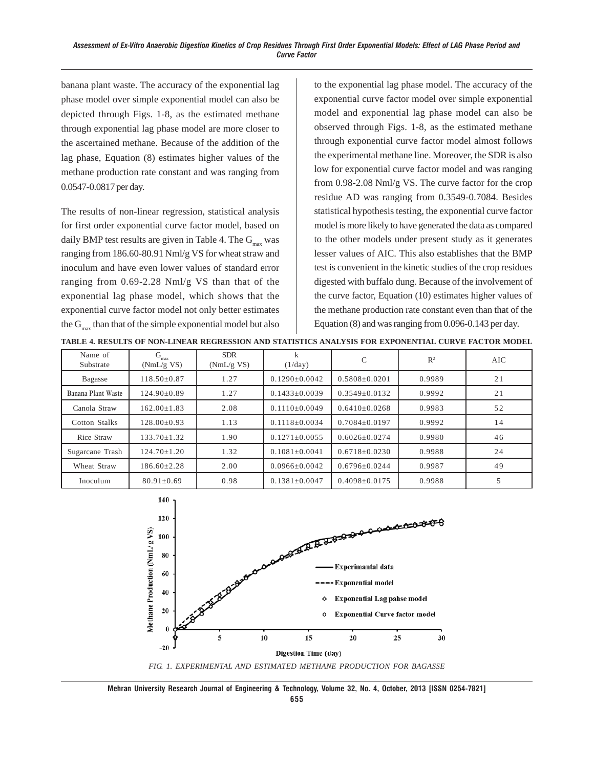banana plant waste. The accuracy of the exponential lag phase model over simple exponential model can also be depicted through Figs. 1-8, as the estimated methane through exponential lag phase model are more closer to the ascertained methane. Because of the addition of the lag phase, Equation (8) estimates higher values of the methane production rate constant and was ranging from 0.0547-0.0817 per day.

The results of non-linear regression, statistical analysis for first order exponential curve factor model, based on daily BMP test results are given in Table 4. The  $G_{\text{max}}$  was ranging from 186.60-80.91 Nml/g VS for wheat straw and inoculum and have even lower values of standard error ranging from 0.69-2.28 Nml/g VS than that of the exponential lag phase model, which shows that the exponential curve factor model not only better estimates the  $G_{\text{max}}$  than that of the simple exponential model but also to the exponential lag phase model. The accuracy of the exponential curve factor model over simple exponential model and exponential lag phase model can also be observed through Figs. 1-8, as the estimated methane through exponential curve factor model almost follows the experimental methane line. Moreover, the SDR is also low for exponential curve factor model and was ranging from 0.98-2.08 Nml/g VS. The curve factor for the crop residue AD was ranging from 0.3549-0.7084. Besides statistical hypothesis testing, the exponential curve factor model is more likely to have generated the data as compared to the other models under present study as it generates lesser values of AIC. This also establishes that the BMP test is convenient in the kinetic studies of the crop residues digested with buffalo dung. Because of the involvement of the curve factor, Equation (10) estimates higher values of the methane production rate constant even than that of the Equation (8) and was ranging from 0.096-0.143 per day.

| TABLE 4. RESULTS OF NON-LINEAR REGRESSION AND STATISTICS ANALYSIS FOR EXPONENTIAL CURVE FACTOR MODEL |  |  |  |
|------------------------------------------------------------------------------------------------------|--|--|--|
|                                                                                                      |  |  |  |

| Name of<br>Substrate | G<br>max<br>(NmL/g VS) | <b>SDR</b><br>(NmL/g VS) | k<br>(1/day)        | C                   | $\mathbb{R}^2$ | AIC. |
|----------------------|------------------------|--------------------------|---------------------|---------------------|----------------|------|
| Bagasse              | $118.50\pm0.87$        | 1.27                     | $0.1290 \pm 0.0042$ | $0.5808 \pm 0.0201$ | 0.9989         | 21   |
| Banana Plant Waste   | $124.90 \pm 0.89$      | 1.27                     | $0.1433 \pm 0.0039$ | $0.3549 \pm 0.0132$ | 0.9992         | 21   |
| Canola Straw         | $162.00 \pm 1.83$      | 2.08                     | $0.1110\pm0.0049$   | $0.6410\pm0.0268$   | 0.9983         | 52   |
| Cotton Stalks        | $128.00 \pm 0.93$      | 1.13                     | $0.1118 \pm 0.0034$ | $0.7084 \pm 0.0197$ | 0.9992         | 14   |
| Rice Straw           | $133.70 \pm 1.32$      | 1.90                     | $0.1271 \pm 0.0055$ | $0.6026 \pm 0.0274$ | 0.9980         | 46   |
| Sugarcane Trash      | $124.70 \pm 1.20$      | 1.32                     | $0.1081 \pm 0.0041$ | $0.6718 \pm 0.0230$ | 0.9988         | 24   |
| Wheat Straw          | $186.60 \pm 2.28$      | 2.00                     | $0.0966 \pm 0.0042$ | $0.6796 \pm 0.0244$ | 0.9987         | 49   |
| Inoculum             | $80.91 \pm 0.69$       | 0.98                     | $0.1381 \pm 0.0047$ | $0.4098 \pm 0.0175$ | 0.9988         | 5    |



*FIG. 1. EXPERIMENTAL AND ESTIMATED METHANE PRODUCTION FOR BAGASSE*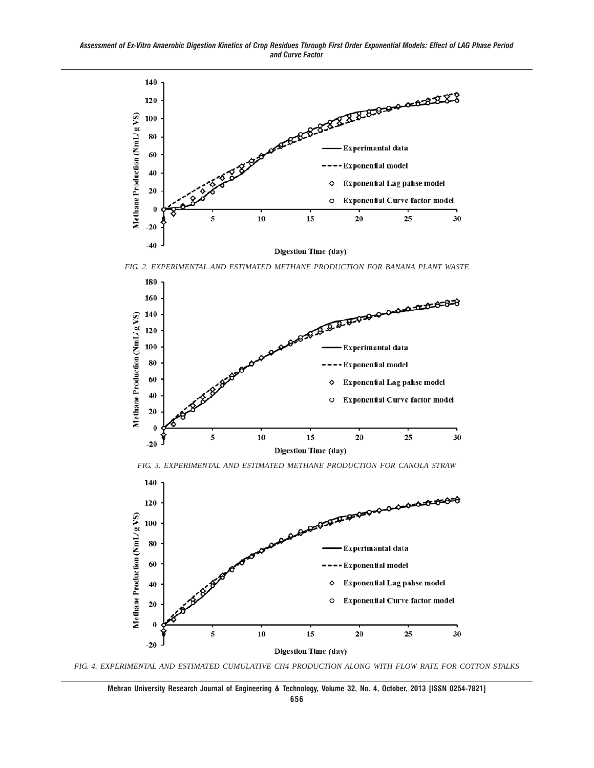*Assessment of Ex-Vitro Anaerobic Digestion Kinetics of Crop Residues Through First Order Exponential Models: Effect of LAG Phase Period and Curve Factor*



*FIG. 2. EXPERIMENTAL AND ESTIMATED METHANE PRODUCTION FOR BANANA PLANT WASTE*



*FIG. 3. EXPERIMENTAL AND ESTIMATED METHANE PRODUCTION FOR CANOLA STRAW*



*FIG. 4. EXPERIMENTAL AND ESTIMATED CUMULATIVE CH4 PRODUCTION ALONG WITH FLOW RATE FOR COTTON STALKS*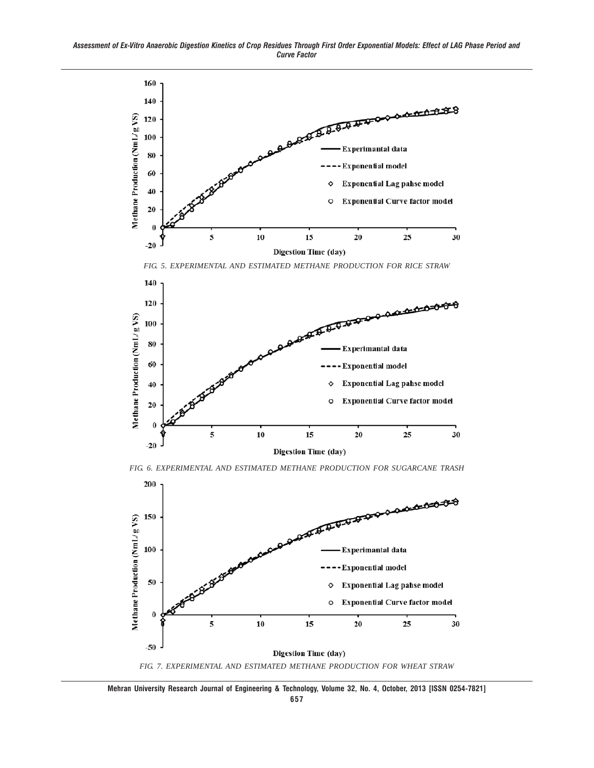



*FIG. 6. EXPERIMENTAL AND ESTIMATED METHANE PRODUCTION FOR SUGARCANE TRASH*



*FIG. 7. EXPERIMENTAL AND ESTIMATED METHANE PRODUCTION FOR WHEAT STRAW*

**Mehran University Research Journal of Engineering & Technology, Volume 32, No. 4, October, 2013 [ISSN 0254-7821]**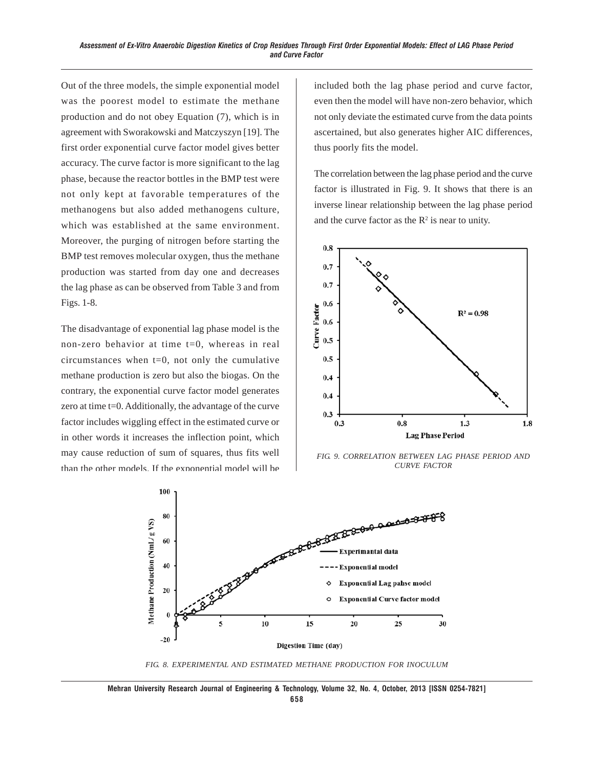Out of the three models, the simple exponential model was the poorest model to estimate the methane production and do not obey Equation (7), which is in agreement with Sworakowski and Matczyszyn [19]. The first order exponential curve factor model gives better accuracy. The curve factor is more significant to the lag phase, because the reactor bottles in the BMP test were not only kept at favorable temperatures of the methanogens but also added methanogens culture, which was established at the same environment. Moreover, the purging of nitrogen before starting the BMP test removes molecular oxygen, thus the methane production was started from day one and decreases the lag phase as can be observed from Table 3 and from Figs. 1-8.

The disadvantage of exponential lag phase model is the non-zero behavior at time t=0, whereas in real circumstances when  $t=0$ , not only the cumulative methane production is zero but also the biogas. On the contrary, the exponential curve factor model generates zero at time t=0. Additionally, the advantage of the curve factor includes wiggling effect in the estimated curve or in other words it increases the inflection point, which may cause reduction of sum of squares, thus fits well than the other models. If the exponential model will be included both the lag phase period and curve factor, even then the model will have non-zero behavior, which not only deviate the estimated curve from the data points ascertained, but also generates higher AIC differences, thus poorly fits the model.

The correlation between the lag phase period and the curve factor is illustrated in Fig. 9. It shows that there is an inverse linear relationship between the lag phase period and the curve factor as the  $\mathbb{R}^2$  is near to unity.



*FIG. 9. CORRELATION BETWEEN LAG PHASE PERIOD AND CURVE FACTOR*



*FIG. 8. EXPERIMENTAL AND ESTIMATED METHANE PRODUCTION FOR INOCULUM*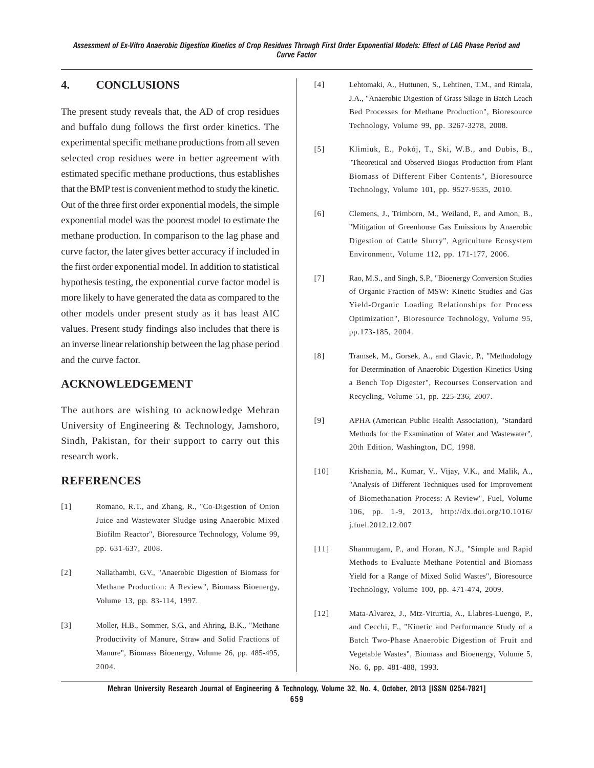## **4. CONCLUSIONS**

The present study reveals that, the AD of crop residues and buffalo dung follows the first order kinetics. The experimental specific methane productions from all seven selected crop residues were in better agreement with estimated specific methane productions, thus establishes that the BMP test is convenient method to study the kinetic. Out of the three first order exponential models, the simple exponential model was the poorest model to estimate the methane production. In comparison to the lag phase and curve factor, the later gives better accuracy if included in the first order exponential model. In addition to statistical hypothesis testing, the exponential curve factor model is more likely to have generated the data as compared to the other models under present study as it has least AIC values. Present study findings also includes that there is an inverse linear relationship between the lag phase period and the curve factor.

#### **ACKNOWLEDGEMENT**

The authors are wishing to acknowledge Mehran University of Engineering & Technology, Jamshoro, Sindh, Pakistan, for their support to carry out this research work.

## **REFERENCES**

- [1] Romano, R.T., and Zhang, R., "Co-Digestion of Onion Juice and Wastewater Sludge using Anaerobic Mixed Biofilm Reactor", Bioresource Technology, Volume 99, pp. 631-637, 2008.
- [2] Nallathambi, G.V., "Anaerobic Digestion of Biomass for Methane Production: A Review", Biomass Bioenergy, Volume 13, pp. 83-114, 1997.
- [3] Moller, H.B., Sommer, S.G., and Ahring, B.K., "Methane Productivity of Manure, Straw and Solid Fractions of Manure", Biomass Bioenergy, Volume 26, pp. 485-495, 2004.
- [4] Lehtomaki, A., Huttunen, S., Lehtinen, T.M., and Rintala, J.A., "Anaerobic Digestion of Grass Silage in Batch Leach Bed Processes for Methane Production", Bioresource Technology, Volume 99, pp. 3267-3278, 2008.
- [5] Klimiuk, E., Pokój, T., Ski, W.B., and Dubis, B., "Theoretical and Observed Biogas Production from Plant Biomass of Different Fiber Contents", Bioresource Technology, Volume 101, pp. 9527-9535, 2010.
- [6] Clemens, J., Trimborn, M., Weiland, P., and Amon, B., "Mitigation of Greenhouse Gas Emissions by Anaerobic Digestion of Cattle Slurry", Agriculture Ecosystem Environment, Volume 112, pp. 171-177, 2006.
- [7] Rao, M.S., and Singh, S.P., "Bioenergy Conversion Studies of Organic Fraction of MSW: Kinetic Studies and Gas Yield-Organic Loading Relationships for Process Optimization", Bioresource Technology, Volume 95, pp.173-185, 2004.
- [8] Tramsek, M., Gorsek, A., and Glavic, P., "Methodology for Determination of Anaerobic Digestion Kinetics Using a Bench Top Digester", Recourses Conservation and Recycling, Volume 51, pp. 225-236, 2007.
- [9] APHA (American Public Health Association), "Standard Methods for the Examination of Water and Wastewater", 20th Edition, Washington, DC, 1998.
- [10] Krishania, M., Kumar, V., Vijay, V.K., and Malik, A., "Analysis of Different Techniques used for Improvement of Biomethanation Process: A Review", Fuel, Volume 106, pp. 1-9, 2013, http://dx.doi.org/10.1016/ j.fuel.2012.12.007
- [11] Shanmugam, P., and Horan, N.J., "Simple and Rapid Methods to Evaluate Methane Potential and Biomass Yield for a Range of Mixed Solid Wastes", Bioresource Technology, Volume 100, pp. 471-474, 2009.
- [12] Mata-Alvarez, J., Mtz-Viturtia, A., Llabres-Luengo, P., and Cecchi, F., "Kinetic and Performance Study of a Batch Two-Phase Anaerobic Digestion of Fruit and Vegetable Wastes", Biomass and Bioenergy, Volume 5, No. 6, pp. 481-488, 1993.